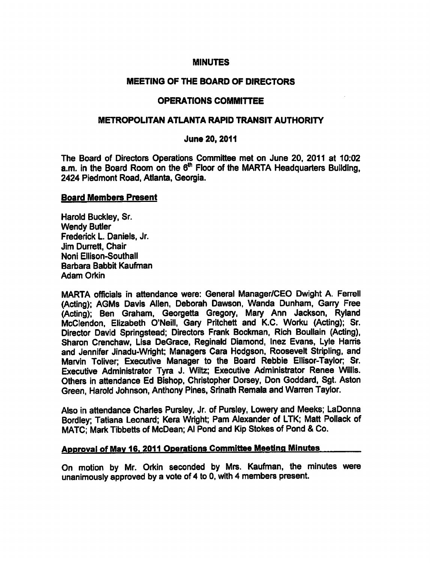## MINUTES

## MEETING OF THE BOARD OF DIRECTORS

#### OPERATIONS COMMITTEE

#### METROPOLITAN ATLANTA RAPID TRANSIT AUTHORITY

#### June 20, 2011

The Board of Directors Operations Committee met on June 20, 2011 at 10:02 a.m. in the Board Room on the  $6<sup>th</sup>$  Floor of the MARTA Headquarters Building, 2424 Piedmont Road, Atlanta, Georgia.

#### Board Members Present

Harold Buckley, Sr. Wendy Butler Frederick L. Daniels, Jr. Jim Durrett, Chair Noni Ellison-Southall Barbara Babbit Kaufman Adam Orkin

MARTA officials in attendance were: General Manager/CEO Dwight A. Ferrell (Acting); AGMs Davis Allen, Deborah Dawson, Wanda Dunham, Garry Free (Acting); Ben Graham, Georgetta Gregory, Mary Ann Jackson, Ryland McClendon, Elizabeth O'Neill, Gary Pritchett and K.C. Worku (Acting); Sr. Director David Springstead; Directors Frank Bockman, Rich Boullain (Acting), Sharon Crenchaw, Lisa DeGrace, Reginald Diamond, Inez Evans, Lyle Harris and Jennifer Jinadu-Wright; Managers Cara Hodgson, Roosevelt Stripling, and Marvin Toliver; Executive Manager to the Board Rebbie Ellisor-Taylor; Sr. Executive Administrator Tyra J. Wiltz; Executive Administrator Renee Willis. Others in attendance Ed Bishop, Christopher Dorsey, Don Goddard, Sgt. Aston Green, Harold Johnson, Anthony Pines, Srinath Remala and Warren Taylor.

Also in attendance Charies Pursley, Jr. of Pursley, Lowery and Meeks; LaDonna Bordley; Tatiana Leonard; Kera Wright; Pam Alexander of LTK; Matt Pollack of MATC: Mark Tibbetts of McDean; Al Pond and Kip Stokes of Pond & Co.

#### Approval of May 16. 2011 Operations Committee Meeting Minutes

On motion by Mr. Orkin seconded by Mrs. Kaufman, the minutes were unanimously approved by a vote of 4 to 0, with 4 members present.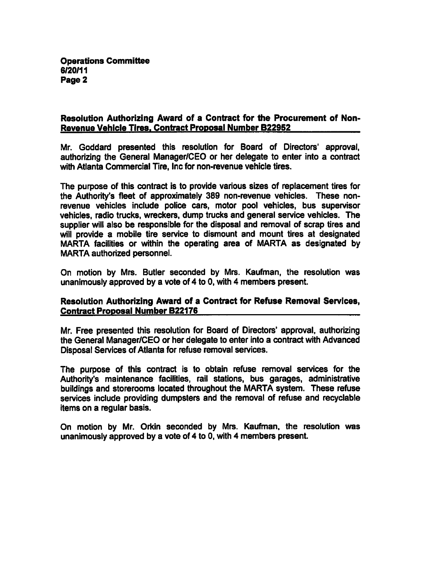# Resolution Authorizing Award of a Contract for the Procurement of Non-Revenue Vehicle Tires. Contract Proposal Number B229S2

Mr. Goddard presented this resolution for Board of Directors' approval, authorizing the General Manager/CEO or her delegate to enter into a contract with Atlanta Commercial Tire, Inc for non-revenue vehicle tires.

The purpose of this contract is to provide various sizes of replacement tires for the Authority's fleet of approximately 389 non-revenue vehicles. These nonrevenue vehicles include police cars, motor pool vehicles, bus supervisor vehicles, radio trucks, wreckers, dump trucks and general service vehicles. The supplier will also be responsible for the disposal and removal of scrap tires and will provide a mobile tire service to dismount and mount tires at designated MARTA facilities or within the operating area of MARTA as designated by MARTA authorized personnel.

On motion by Mrs. Butler seconded by Mrs. Kaufman, the resolution was unanimously approved by a vote of  $4$  to 0, with  $4$  members present.

# Resolution Authorizing Award of a Contract for Refuse Removal Services, Contract Proposal Number B22176

Mr. Free presented this resolution for Board of Directors' approval, authorizing the General Manager/CEO or her delegate to enter into a contract with Advanced Disposal Services of Atlanta for refuse removal services.

The purpose of this contract is to obtain refuse removal services for the Authority's maintenance facilities, rail stations, bus garages, administrative buildings and storerooms located throughout the MARTA system. These refuse services include providing dumpsters and the removal of refuse and recyclable items on a regular basis.

On motion by Mr. Orkin seconded by Mrs. Kaufman, the resolution was unanimously approved by a vote of 4 to 0, with 4 members present.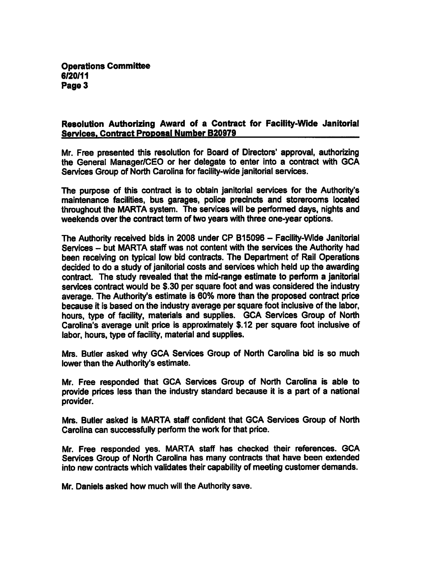# Resolution Authorizing Award of a Contract for Facility-Wide Janitorial Services. Contract Proposal Number B20979

Mr. Free presented this resolution for Board of Directors' approval, authorizing the General Manager/CEO or her delegate to enter into a contract with GCA Services Group of North Carolina for facility-wide janitorial services.

The purpose of this contract is to obtain janitorial services for the Authority's maintenance facilities, bus garages, police precincts and storerooms located throughout the MARTA system. The services will be performed days, nights and weekends over the contract term of two years with three one-year options.

The Authority received bids in 2008 under CP B15096 - Facility-Wide Janitorial Services - but MARTA staff was not content with the services the Authority had been receiving on typical low bid contracts. The Department of Rail Operations decided to do a study of janitorial costs and services which held up the awarding contract. The study revealed that the mid-range estimate to perform a janitorial services contract would be \$.30 per square foot and was considered the industry average. The Authority's estimate is 60% more than the proposed contract price because it is based on the industry average per square foot inclusive of the labor, hours, type of facility, materials and supplies. GCA Services Group of North Carolina's average unit price is approximately \$.12 per square foot inclusive of labor, hours, type of facility, material and supplies.

Mrs. Butler asked why GCA Services Group of North Carolina bid is so much lower than the Authority's estimate.

Mr. Free responded that GCA Services Group of North Carolina is able to provide prices less than the industry standard because it is a part of a national provider.

Mrs. Butler asked is MARTA staff confident that GCA Services Group of North Carolina can successfully perform the work for that price.

Mr. Free responded yes. MARTA staff has checked their references. GCA Services Group of North Carolina has many contracts that have been extended into new contracts which validates their capability of meeting customer demands.

Mr. Daniels asked how much will the Authority save.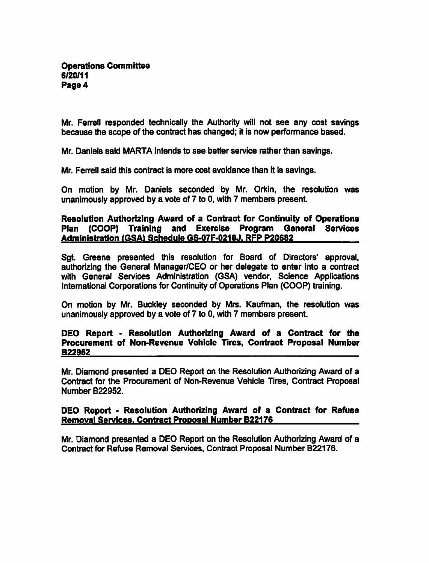Mr. Ferrell responded technically the Authority will not see any cost savings because the scope of the contract has changed; it is now performance based.

Mr. Daniels said MARTA intends to see better service rather than savings.

Mr. Ferrell said this contract is more cost avoidance than it is savings.

On motion by Mr. Daniels seconded by Mr. Orkin, the resolution was unanimously approved by a vote of  $7$  to  $0$ , with  $7$  members present.

# Resolution Authorizing Award of a Contract for Continuity of Operations Plan (COOP) Training and Exercise Program General Services Administration (GSA) Schedule GS-07F-0210J. RFP P20682

Sgt. Greene presented this resolution for Board of Directors' approval, authorizing the General Manager/CEO or her delegate to enter into a contract with General Services Administration (GSA) vendor, Science Applications International Corporations for Continuity of Operations Plan (COOP) training.

On motion by Mr. Buckley seconded by Mrs. Kaufman, the resolution was unanimously approved by a vote of 7 to 0, with 7 members present.

# DEO Report - Resolution Authorizing Award of a Contract for the Procurement of Non-Revenue Vehicle Tires, Contract Proposal Number B229S2

Mr. Diamond presented a DEO Report on the Resolution Authorizing Award of a Contract for the Procurement of Non-Revenue Vehicle Tires, Contract Proposal Number B22952.

# DEO Report - Resolution Authorizing Award of a Contract for Refuse Removal Services. Contract Proposal Number B22176

Mr. Diamond presented a DEO Report on the Resolution Authorizing Award of a Contract for Refuse Removal Services, Contract Proposal Number B22176.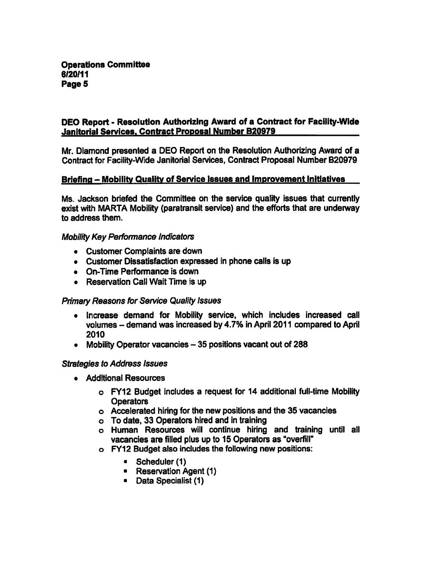# DEO Report - Resolution Authorizing Award of a Contract for Facility-Wide Janitorial Services. Contract Proposal Number B20979

Mr. Diamond presented a DEO Report on the Resolution Authorizing Award of a Contract for Facility-Wide Janitorial Services, Contract Proposal Number B20979

# Briefing - Mobility Quality of Service Issues and Improvement Initiatives

Ms. Jackson briefed the Committee on the service quality issues that currently exist with MARTA Mobility (paratransit service) and the efforts that are underway to address them.

#### Mobility Key Performance Indicators

- Customer Complaints are down
- Customer Dissatisfaction expressed in phone calls is up
- On-Time Performance is down
- Reservation Call Wait Time is up

# Primary Reasons for Service Quality Issues

- Increase demand for Mobility service, which includes increased call volumes – demand was increased by 4.7% in April 2011 compared to April 2010
- Mobility Operator vacancies  $-35$  positions vacant out of 288

#### Strategies to Address Issues

- Additional Resources
	- o FY12 Budget includes a request for 14 additional full-time Mobility **Operators**
	- Accelerated hiring for the new positions and the 35 vacancies
	- To date, 33 Operators hired and in training
	- Human Resources will continue hiring and training until all vacancies are filled plus up to 15 Operators as "overfill"
	- FY12 Budget also includes the following new positions:
		- Scheduler (1)
		- Reservation Agent (1)
		- Data Specialist (1)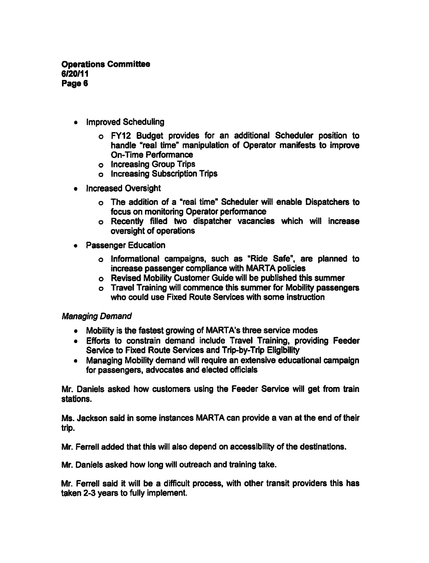- Improved Scheduling
	- FY12 Budget provides for an additional Scheduler position to handle "real time" manipulation of Operator manifests to improve On-Time Performance
	- Increasing Group Trips
	- o Increasing Subscription Trips
- Increased Oversight
	- o The addition of a "real time" Scheduler will enable Dispatchers to focus on monitoring Operator performance
	- Recently filled two dispatcher vacancies which will increase oversight of operations
- Passenger Education
	- Informational campaigns, such as "Ride Safe", are planned to increase passenger compliance with MARTA policies
	- Revised Mobility Customer Guide will be published this summer
	- Travel Training will commence this summer for Mobility passengers who could use Fixed Route Services with some instruction

# Managing Demand

- Mobility is the fastest growing of MARTA's three service modes
- Efforts to constrain demand include Travel Training, providing Feeder Service to Fixed Route Services and Trip-by-Trip Eligibility
- Managing Mobility demand will require an extensive educational campaign for passengers, advocates and elected officials

Mr. Daniels asked how customers using the Feeder Service will get from train stations.

Ms. Jackson said in some instances MARTA can provide a van at the end of their trip.

Mr. Ferrell added that this will also depend on accessibility of the destinations.

Mr. Daniels asked how long will outreach and training take.

Mr. Ferrell said it will be a difficult process, with other transit providers this has taken 2-3 years to fully implement.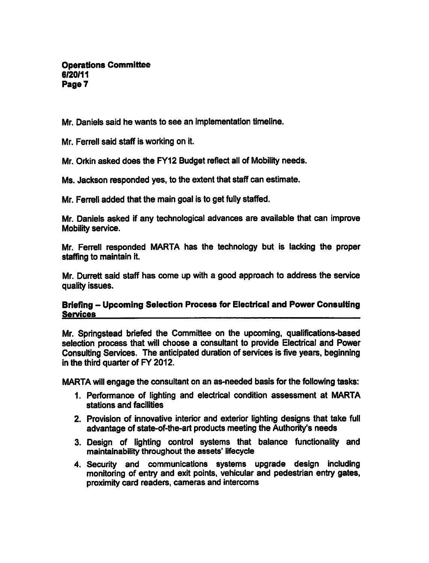Operations Committee 6/20/11 Page 7

Mr. Daniels said he wants to see an implementation timeline.

Mr. Ferrell said staff is working on it.

Mr. Orkin asked does the FY12 Budget reflect all of Mobility needs.

Ms. Jackson responded yes, to the extent that staff can estimate.

Mr. Ferrell added that the main goal is to get fully staffed.

Mr. Daniels asked if any technological advances are available that can improve Mobility service.

Mr. Ferrell responded MARTA has the technology but is lacking the proper staffing to maintain it.

Mr. Durrett said staff has come up with a good approach to address the service quality issues.

# Briefing - Upcoming Selection Process for Electrical and Power Consulting Services

Mr. Springstead briefed the Committee on the upcoming, qualifications-based selection process that will choose a consultant to provide Electrical and Power Consulting Services. The anticipated duration of services is five years, beginning in the third quarter of FY 2012.

MARTA will engage the consultant on an as-needed basis for the following tasks:

- 1. Performance of lighting and electrical condition assessment at MARTA stations and facilities
- 2. Provision of innovative interior and exterior lighting designs that take full advantage of state-of-the-art products meeting the Authority's needs
- 3. Design of lighting control systems that balance functionality and maintainability throughout the assets' lifecycle
- 4. Security and communications systems upgrade design including monitoring of entry and exit points, vehicular and pedestrian entry gates, proximity card readers, cameras and intercoms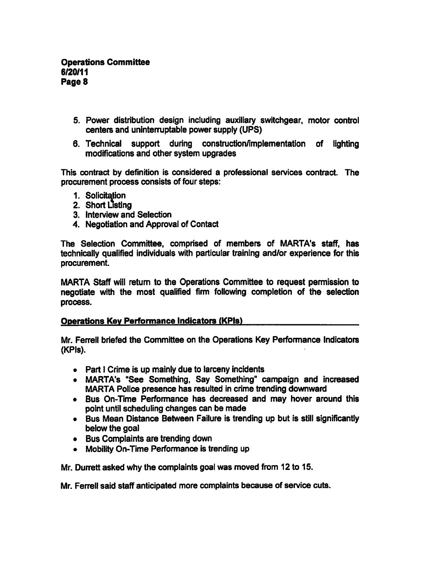- 5. Power distribution design including auxiliary switchgear, motor control centers and uninterruptable power supply (UPS)
- 6. Technical support during construction/implementation of lighting modifications and other system upgrades

This contract by definition is considered a professional services contract. The procurement process consists of four steps:

- 1. Solicitation
- 2. Short Listing
- 3. Interview and Selection
- 4. Negotiation and Approval of Contact

The Selection Committee, comprised of members of MARTA's staff, has technically qualified individuals with particular training and/or experience for this procurement.

MARTA Staff will return to the Operations Committee to request permission to negotiate with the most qualified firm following completion of the selection process.

#### Operations Kev Performance Indicators (KPIs)

Mr. Ferrell briefed the Committee on the Operations Key Performance Indicators (KPIs).

- Part I Crime is up mainly due to larceny incidents
- MARTA's "See Something, Say Something" campaign and increased MARTA Police presence has resulted in crime trending downward
- Bus On-Time Performance has decreased and may hover around this point until scheduling changes can be made
- Bus Mean Distance Between Failure is trending up but is still significantly below the goal
- Bus Complaints are trending down
- Mobility On-Time Performance is trending up

Mr. Durrett asked why the complaints goal was moved from 12 to 15.

Mr. Ferrell said staff anticipated more complaints because of service cuts.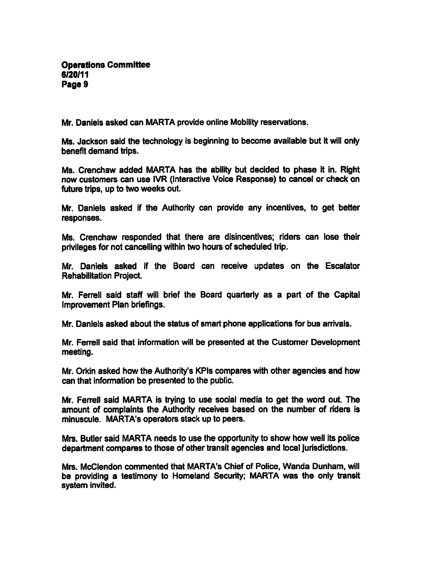Mr. Daniels asked can MARTA provide online Mobility reservations.

Ms. Jackson said the technology is beginning to become available but it will only benefit demand trips.

Ms. Crenchaw added MARTA has the ability but decided to phase it in. Right now customers can use IVR (Interactive Voice Response) to cancel or check on future trips, up to two weeks out.

Mr. Daniels asked if the Authority can provide any incentives, to get better responses.

Ms. Crenchaw responded that there are disincentives; riders can lose their privileges for not cancelling within two hours of scheduled trip.

Mr. Daniels asked if the Board can receive updates on the Escalator Rehabilitation Project.

Mr. Ferrell said staff will brief the Board quarterly as part of the Capital Improvement Plan briefings.

Mr. Daniels asked about the status of smart phone applications for bus arrivals.

Mr. Ferrell said that information will be presented at the Customer Development meeting.

Mr. Orkin asked how the Authority's KPIs compares with other agencies and how can that information be presented to the public.

Mr. Ferrell said MARTA is trying to use social media to get the word out. The amount of complaints the Authority receives based on the number of riders is minuscule. MARTA's operators stack up to peers.

Mrs. Butler said MARTA needs to use the opportunity to show how well its police department compares to those of other transit agencies and local jurisdictions.

Mrs. McClendon commented that MARTA's Chief of Police, Wanda Dunham, will be providing a testimony to Homeland Security; MARTA was the only transit system invited.